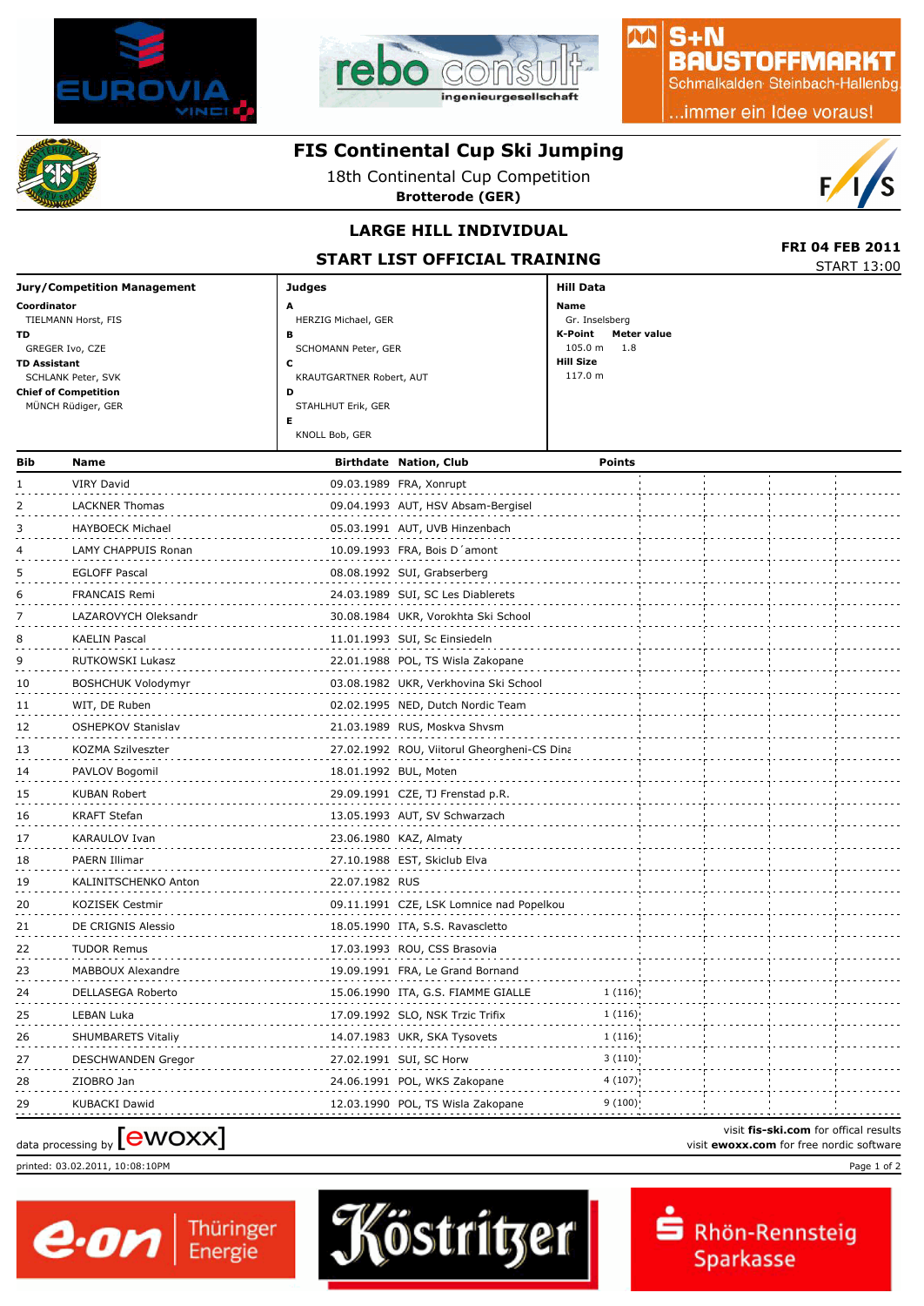



### $S + N$ **BAUSTOFFMARKT**

小八

Schmalkalden Steinbach-Hallenbg

..immer ein Idee voraus!

### **FIS Continental Cup Ski Jumping**

18th Continental Cup Competition

**Brotterode (GER)**



#### **LARGE HILL INDIVIDUAL**

**START LIST OFFICIAL TRAINING**

|                                    | STANT LIST OFFICIAL INAINING |                        | <b>START 13:00</b> |
|------------------------------------|------------------------------|------------------------|--------------------|
| <b>Jury/Competition Management</b> | <b>Judges</b>                | Hill Data              |                    |
| Coordinator                        | A                            | Name                   |                    |
| TIELMANN Horst, FIS                | HERZIG Michael, GER          | Gr. Inselsberg         |                    |
| TD.                                | в                            | K-Point<br>Meter value |                    |
| GREGER Ivo, CZE                    | SCHOMANN Peter, GER          | $105.0 m$ 1.8          |                    |
| <b>TD Assistant</b>                | u                            | <b>Hill Size</b>       |                    |
| SCHLANK Peter, SVK                 | KRAUTGARTNER Robert, AUT     | 117.0 m                |                    |
| <b>Chief of Competition</b>        | D                            |                        |                    |
| MÜNCH Rüdiger, GER                 | STAHLHUT Erik, GER           |                        |                    |
|                                    |                              |                        |                    |
|                                    | KNOLL Bob, GER               |                        |                    |
|                                    |                              |                        |                    |

| Bib | <b>Name</b>               |                | <b>Birthdate Nation, Club</b>               | <b>Points</b> |  |  |
|-----|---------------------------|----------------|---------------------------------------------|---------------|--|--|
|     | <b>VIRY David</b>         |                | 09.03.1989 FRA, Xonrupt                     |               |  |  |
| 2   | <b>LACKNER Thomas</b>     |                | 09.04.1993 AUT, HSV Absam-Bergisel          |               |  |  |
| 3   | <b>HAYBOECK Michael</b>   |                | 05.03.1991 AUT, UVB Hinzenbach              |               |  |  |
| 4   | LAMY CHAPPUIS Ronan       |                | 10.09.1993 FRA, Bois D'amont                |               |  |  |
| 5   | <b>EGLOFF Pascal</b>      |                | 08.08.1992 SUI, Grabserberg                 |               |  |  |
| 6   | <b>FRANCAIS Remi</b>      |                | 24.03.1989 SUI, SC Les Diablerets           |               |  |  |
| 7   | LAZAROVYCH Oleksandr      |                | 30.08.1984 UKR, Vorokhta Ski School         |               |  |  |
| 8   | <b>KAELIN Pascal</b>      |                | 11.01.1993 SUI, Sc Einsiedeln               |               |  |  |
| 9   | RUTKOWSKI Lukasz          |                | 22.01.1988 POL, TS Wisla Zakopane           |               |  |  |
| 10  | <b>BOSHCHUK Volodymyr</b> |                | 03.08.1982 UKR, Verkhovina Ski School       |               |  |  |
| 11  | WIT, DE Ruben             |                | 02.02.1995 NED, Dutch Nordic Team           |               |  |  |
| 12  | <b>OSHEPKOV Stanislav</b> |                | 21.03.1989 RUS, Moskva Shvsm                |               |  |  |
| 13  | KOZMA Szilveszter         |                | 27.02.1992 ROU, Viitorul Gheorgheni-CS Dina |               |  |  |
| 14  | PAVLOV Bogomil            |                | 18.01.1992 BUL, Moten                       |               |  |  |
| 15  | KUBAN Robert              |                | 29.09.1991 CZE, TJ Frenstad p.R.            |               |  |  |
| 16  | <b>KRAFT Stefan</b>       |                | 13.05.1993 AUT, SV Schwarzach               |               |  |  |
| 17  | KARAULOV Ivan             |                | 23.06.1980 KAZ, Almaty                      |               |  |  |
| 18  | PAERN Illimar             |                | 27.10.1988 EST, Skiclub Elva                |               |  |  |
| 19  | KALINITSCHENKO Anton      | 22.07.1982 RUS |                                             |               |  |  |
| 20  | KOZISEK Cestmir           |                | 09.11.1991 CZE, LSK Lomnice nad Popelkou    |               |  |  |
| 21  | DE CRIGNIS Alessio        |                | 18.05.1990 ITA, S.S. Ravascletto            |               |  |  |
| 22  | <b>TUDOR Remus</b>        |                | 17.03.1993 ROU, CSS Brasovia                |               |  |  |
| 23  | MABBOUX Alexandre         |                | 19.09.1991 FRA, Le Grand Bornand            |               |  |  |
| 24  | DELLASEGA Roberto         |                | 15.06.1990 ITA, G.S. FIAMME GIALLE          | 1(116)        |  |  |
| 25  | LEBAN Luka                |                | 17.09.1992 SLO, NSK Trzic Trifix            | 1(116)        |  |  |
| 26  | SHUMBARETS Vitaliy        |                | 14.07.1983 UKR, SKA Tysovets                | 1(116)        |  |  |
| 27  | DESCHWANDEN Gregor        |                | 27.02.1991 SUI, SC Horw                     | 3(110)        |  |  |
| 28  | ZIOBRO Jan                |                | 24.06.1991 POL, WKS Zakopane                | 4(107)        |  |  |
| 29  | <b>KUBACKI Dawid</b>      |                | 12.03.1990 POL, TS Wisla Zakopane           | 9(100)        |  |  |

# visit fis-ski.com for offical results<br>
visit **ewoxx.com** for free nordic software<br>
visit **ewoxx.com** for free nordic software

printed: 03.02.2011, 10:08:10PM Page 1 of 2





visit **fis-ski.com** for offical results